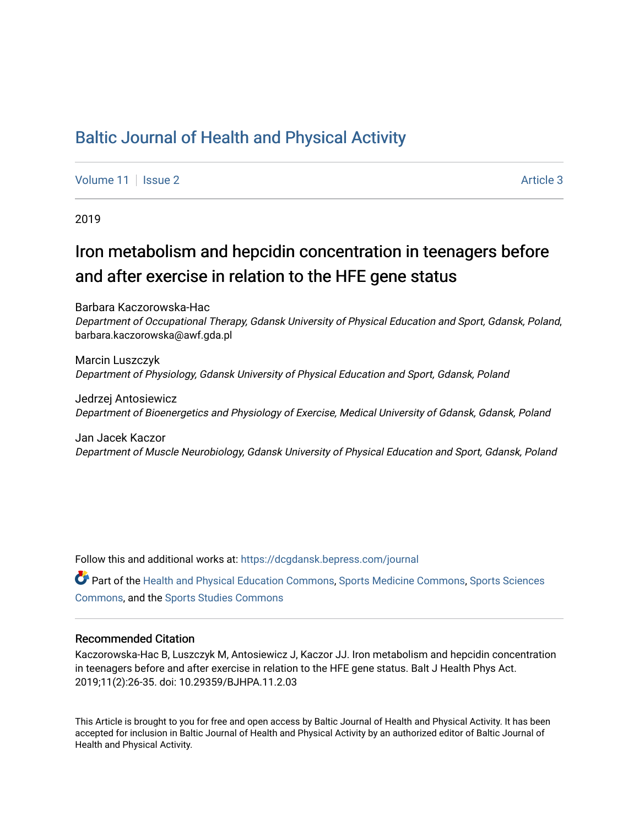## [Baltic Journal of Health and Physical Activity](https://dcgdansk.bepress.com/journal)

[Volume 11](https://dcgdansk.bepress.com/journal/vol11) | [Issue 2](https://dcgdansk.bepress.com/journal/vol11/iss2) Article 3

2019

# Iron metabolism and hepcidin concentration in teenagers before and after exercise in relation to the HFE gene status

Barbara Kaczorowska-Hac Department of Occupational Therapy, Gdansk University of Physical Education and Sport, Gdansk, Poland, barbara.kaczorowska@awf.gda.pl

Marcin Luszczyk Department of Physiology, Gdansk University of Physical Education and Sport, Gdansk, Poland

Jedrzej Antosiewicz Department of Bioenergetics and Physiology of Exercise, Medical University of Gdansk, Gdansk, Poland

Jan Jacek Kaczor Department of Muscle Neurobiology, Gdansk University of Physical Education and Sport, Gdansk, Poland

Follow this and additional works at: [https://dcgdansk.bepress.com/journal](https://dcgdansk.bepress.com/journal?utm_source=dcgdansk.bepress.com%2Fjournal%2Fvol11%2Fiss2%2F3&utm_medium=PDF&utm_campaign=PDFCoverPages)

Part of the [Health and Physical Education Commons](http://network.bepress.com/hgg/discipline/1327?utm_source=dcgdansk.bepress.com%2Fjournal%2Fvol11%2Fiss2%2F3&utm_medium=PDF&utm_campaign=PDFCoverPages), [Sports Medicine Commons,](http://network.bepress.com/hgg/discipline/1331?utm_source=dcgdansk.bepress.com%2Fjournal%2Fvol11%2Fiss2%2F3&utm_medium=PDF&utm_campaign=PDFCoverPages) [Sports Sciences](http://network.bepress.com/hgg/discipline/759?utm_source=dcgdansk.bepress.com%2Fjournal%2Fvol11%2Fiss2%2F3&utm_medium=PDF&utm_campaign=PDFCoverPages) [Commons](http://network.bepress.com/hgg/discipline/759?utm_source=dcgdansk.bepress.com%2Fjournal%2Fvol11%2Fiss2%2F3&utm_medium=PDF&utm_campaign=PDFCoverPages), and the [Sports Studies Commons](http://network.bepress.com/hgg/discipline/1198?utm_source=dcgdansk.bepress.com%2Fjournal%2Fvol11%2Fiss2%2F3&utm_medium=PDF&utm_campaign=PDFCoverPages) 

#### Recommended Citation

Kaczorowska-Hac B, Luszczyk M, Antosiewicz J, Kaczor JJ. Iron metabolism and hepcidin concentration in teenagers before and after exercise in relation to the HFE gene status. Balt J Health Phys Act. 2019;11(2):26-35. doi: 10.29359/BJHPA.11.2.03

This Article is brought to you for free and open access by Baltic Journal of Health and Physical Activity. It has been accepted for inclusion in Baltic Journal of Health and Physical Activity by an authorized editor of Baltic Journal of Health and Physical Activity.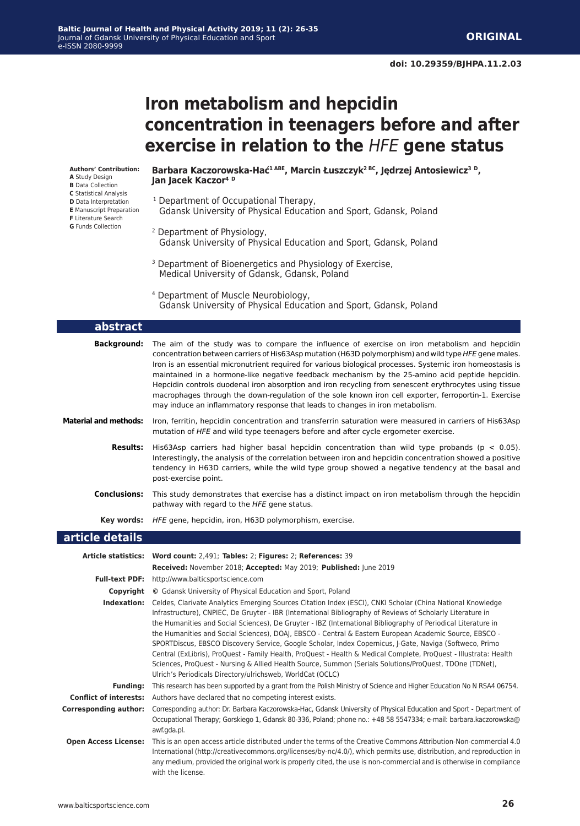# **Iron metabolism and hepcidin concentration in teenagers before and after exercise in relation to the** *HFE* **gene status**

**Authors' Contribution: A** Study Design **B** Data Collection **C** Statistical Analysis **D** Data Interpretation **E** Manuscript Preparation **F** Literature Search **G** Funds Collection

#### **Barbara Kaczorowska-Hać1 ABE, Marcin Łuszczyk2 BC, Jędrzej Antosiewicz<sup>3</sup> D, Jan Jacek Kaczor4 <sup>D</sup>**

- <sup>1</sup> Department of Occupational Therapy, Gdansk University of Physical Education and Sport, Gdansk, Poland
- 2 Department of Physiology, Gdansk University of Physical Education and Sport, Gdansk, Poland
- <sup>3</sup> Department of Bioenergetics and Physiology of Exercise, Medical University of Gdansk, Gdansk, Poland
- 4 Department of Muscle Neurobiology, Gdansk University of Physical Education and Sport, Gdansk, Poland

| abstract                      |                                                                                                                                                                                                                                                                                                                                                                                                                                                                                                                                                                                                                                                                                                                                                                                                                                                               |  |  |  |
|-------------------------------|---------------------------------------------------------------------------------------------------------------------------------------------------------------------------------------------------------------------------------------------------------------------------------------------------------------------------------------------------------------------------------------------------------------------------------------------------------------------------------------------------------------------------------------------------------------------------------------------------------------------------------------------------------------------------------------------------------------------------------------------------------------------------------------------------------------------------------------------------------------|--|--|--|
| <b>Background:</b>            | The aim of the study was to compare the influence of exercise on iron metabolism and hepcidin<br>concentration between carriers of His63Asp mutation (H63D polymorphism) and wild type HFE gene males.<br>Iron is an essential micronutrient required for various biological processes. Systemic iron homeostasis is<br>maintained in a hormone-like negative feedback mechanism by the 25-amino acid peptide hepcidin.<br>Hepcidin controls duodenal iron absorption and iron recycling from senescent erythrocytes using tissue<br>macrophages through the down-regulation of the sole known iron cell exporter, ferroportin-1. Exercise<br>may induce an inflammatory response that leads to changes in iron metabolism.                                                                                                                                   |  |  |  |
| <b>Material and methods:</b>  | Iron, ferritin, hepcidin concentration and transferrin saturation were measured in carriers of His63Asp<br>mutation of HFE and wild type teenagers before and after cycle ergometer exercise.                                                                                                                                                                                                                                                                                                                                                                                                                                                                                                                                                                                                                                                                 |  |  |  |
| <b>Results:</b>               | His63Asp carriers had higher basal hepcidin concentration than wild type probands ( $p < 0.05$ ).<br>Interestingly, the analysis of the correlation between iron and hepcidin concentration showed a positive<br>tendency in H63D carriers, while the wild type group showed a negative tendency at the basal and<br>post-exercise point.                                                                                                                                                                                                                                                                                                                                                                                                                                                                                                                     |  |  |  |
| <b>Conclusions:</b>           | This study demonstrates that exercise has a distinct impact on iron metabolism through the hepcidin<br>pathway with regard to the HFE gene status.                                                                                                                                                                                                                                                                                                                                                                                                                                                                                                                                                                                                                                                                                                            |  |  |  |
| Key words:                    | HFE gene, hepcidin, iron, H63D polymorphism, exercise.                                                                                                                                                                                                                                                                                                                                                                                                                                                                                                                                                                                                                                                                                                                                                                                                        |  |  |  |
| article details               |                                                                                                                                                                                                                                                                                                                                                                                                                                                                                                                                                                                                                                                                                                                                                                                                                                                               |  |  |  |
|                               | Article statistics: Word count: 2,491; Tables: 2; Figures: 2; References: 39                                                                                                                                                                                                                                                                                                                                                                                                                                                                                                                                                                                                                                                                                                                                                                                  |  |  |  |
|                               | Received: November 2018; Accepted: May 2019; Published: June 2019                                                                                                                                                                                                                                                                                                                                                                                                                                                                                                                                                                                                                                                                                                                                                                                             |  |  |  |
| <b>Full-text PDF:</b>         | http://www.balticsportscience.com                                                                                                                                                                                                                                                                                                                                                                                                                                                                                                                                                                                                                                                                                                                                                                                                                             |  |  |  |
|                               | <b>Copyright</b> © Gdansk University of Physical Education and Sport, Poland                                                                                                                                                                                                                                                                                                                                                                                                                                                                                                                                                                                                                                                                                                                                                                                  |  |  |  |
| Indexation:                   | Celdes, Clarivate Analytics Emerging Sources Citation Index (ESCI), CNKI Scholar (China National Knowledge<br>Infrastructure), CNPIEC, De Gruyter - IBR (International Bibliography of Reviews of Scholarly Literature in<br>the Humanities and Social Sciences), De Gruyter - IBZ (International Bibliography of Periodical Literature in<br>the Humanities and Social Sciences), DOAJ, EBSCO - Central & Eastern European Academic Source, EBSCO -<br>SPORTDiscus, EBSCO Discovery Service, Google Scholar, Index Copernicus, J-Gate, Naviga (Softweco, Primo<br>Central (ExLibris), ProQuest - Family Health, ProQuest - Health & Medical Complete, ProQuest - Illustrata: Health<br>Sciences, ProQuest - Nursing & Allied Health Source, Summon (Serials Solutions/ProQuest, TDOne (TDNet),<br>Ulrich's Periodicals Directory/ulrichsweb, WorldCat (OCLC) |  |  |  |
| <b>Funding:</b>               | This research has been supported by a grant from the Polish Ministry of Science and Higher Education No N RSA4 06754.                                                                                                                                                                                                                                                                                                                                                                                                                                                                                                                                                                                                                                                                                                                                         |  |  |  |
| <b>Conflict of interests:</b> | Authors have declared that no competing interest exists.                                                                                                                                                                                                                                                                                                                                                                                                                                                                                                                                                                                                                                                                                                                                                                                                      |  |  |  |
| <b>Corresponding author:</b>  | Corresponding author: Dr. Barbara Kaczorowska-Hac, Gdansk University of Physical Education and Sport - Department of<br>Occupational Therapy; Gorskiego 1, Gdansk 80-336, Poland; phone no.: +48 58 5547334; e-mail: barbara.kaczorowska@<br>awf.gda.pl.                                                                                                                                                                                                                                                                                                                                                                                                                                                                                                                                                                                                      |  |  |  |

International (http://creativecommons.org/licenses/by-nc/4.0/), which permits use, distribution, and reproduction in any medium, provided the original work is properly cited, the use is non-commercial and is otherwise in compliance with the license.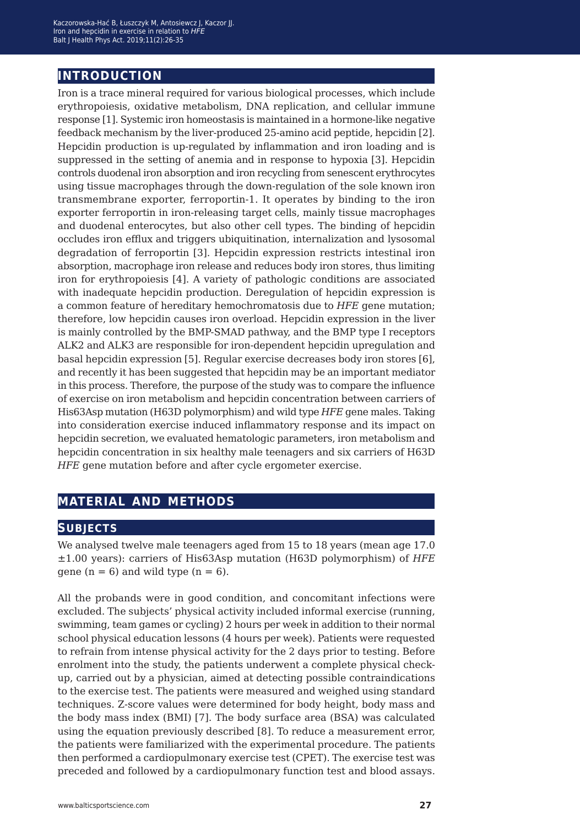### **introduction**

Iron is a trace mineral required for various biological processes, which include erythropoiesis, oxidative metabolism, DNA replication, and cellular immune response [1]. Systemic iron homeostasis is maintained in a hormone-like negative feedback mechanism by the liver-produced 25-amino acid peptide, hepcidin [2]. Hepcidin production is up-regulated by inflammation and iron loading and is suppressed in the setting of anemia and in response to hypoxia [3]. Hepcidin controls duodenal iron absorption and iron recycling from senescent erythrocytes using tissue macrophages through the down-regulation of the sole known iron transmembrane exporter, ferroportin-1. It operates by binding to the iron exporter ferroportin in iron-releasing target cells, mainly tissue macrophages and duodenal enterocytes, but also other cell types. The binding of hepcidin occludes iron efflux and triggers ubiquitination, internalization and lysosomal degradation of ferroportin [3]. Hepcidin expression restricts intestinal iron absorption, macrophage iron release and reduces body iron stores, thus limiting iron for erythropoiesis [4]. A variety of pathologic conditions are associated with inadequate hepcidin production. Deregulation of hepcidin expression is a common feature of hereditary hemochromatosis due to *HFE* gene mutation; therefore, low hepcidin causes iron overload. Hepcidin expression in the liver is mainly controlled by the BMP-SMAD pathway, and the BMP type I receptors ALK2 and ALK3 are responsible for iron-dependent hepcidin upregulation and basal hepcidin expression [5]. Regular exercise decreases body iron stores [6], and recently it has been suggested that hepcidin may be an important mediator in this process. Therefore, the purpose of the study was to compare the influence of exercise on iron metabolism and hepcidin concentration between carriers of His63Asp mutation (H63D polymorphism) and wild type *HFE* gene males. Taking into consideration exercise induced inflammatory response and its impact on hepcidin secretion, we evaluated hematologic parameters, iron metabolism and hepcidin concentration in six healthy male teenagers and six carriers of H63D *HFE* gene mutation before and after cycle ergometer exercise.

### **material and methods**

#### **subjects**

We analysed twelve male teenagers aged from 15 to 18 years (mean age 17.0 ±1.00 years): carriers of His63Asp mutation (H63D polymorphism) of *HFE* gene  $(n = 6)$  and wild type  $(n = 6)$ .

All the probands were in good condition, and concomitant infections were excluded. The subjects' physical activity included informal exercise (running, swimming, team games or cycling) 2 hours per week in addition to their normal school physical education lessons (4 hours per week). Patients were requested to refrain from intense physical activity for the 2 days prior to testing. Before enrolment into the study, the patients underwent a complete physical checkup, carried out by a physician, aimed at detecting possible contraindications to the exercise test. The patients were measured and weighed using standard techniques. Z-score values were determined for body height, body mass and the body mass index (BMI) [7]. The body surface area (BSA) was calculated using the equation previously described [8]. To reduce a measurement error, the patients were familiarized with the experimental procedure. The patients then performed a cardiopulmonary exercise test (CPET). The exercise test was preceded and followed by a cardiopulmonary function test and blood assays.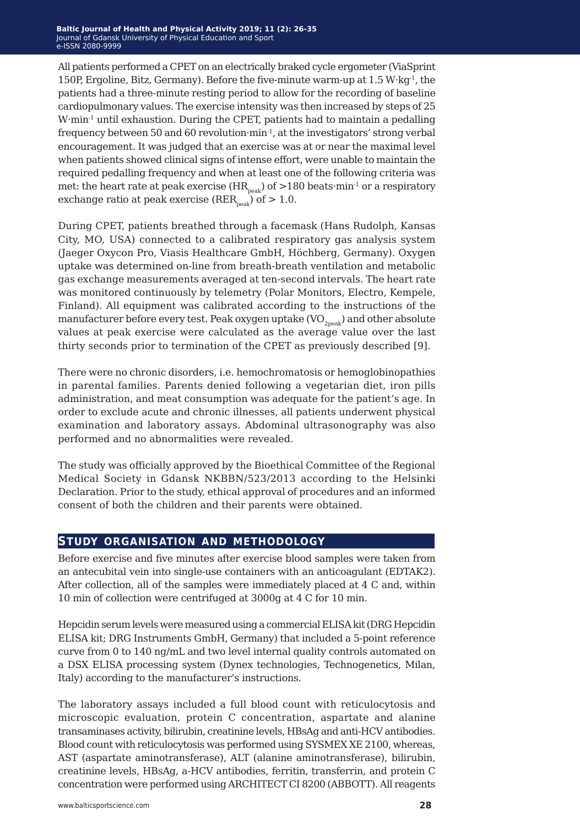All patients performed a CPET on an electrically braked cycle ergometer (ViaSprint 150P, Ergoline, Bitz, Germany). Before the five-minute warm-up at  $1.5 W·kq<sup>-1</sup>$ , the patients had a three-minute resting period to allow for the recording of baseline cardiopulmonary values. The exercise intensity was then increased by steps of 25 W·min-1 until exhaustion. During the CPET, patients had to maintain a pedalling frequency between 50 and 60 revolution·min<sup>-1</sup>, at the investigators' strong verbal encouragement. It was judged that an exercise was at or near the maximal level when patients showed clinical signs of intense effort, were unable to maintain the required pedalling frequency and when at least one of the following criteria was met: the heart rate at peak exercise  $(HR_{peak})$  of  $>180$  beats·min<sup>-1</sup> or a respiratory exchange ratio at peak exercise ( $RER_{peak}$ ) of  $> 1.0$ .

During CPET, patients breathed through a facemask (Hans Rudolph, Kansas City, MO, USA) connected to a calibrated respiratory gas analysis system (Jaeger Oxycon Pro, Viasis Healthcare GmbH, Höchberg, Germany). Oxygen uptake was determined on-line from breath-breath ventilation and metabolic gas exchange measurements averaged at ten-second intervals. The heart rate was monitored continuously by telemetry (Polar Monitors, Electro, Kempele, Finland). All equipment was calibrated according to the instructions of the manufacturer before every test. Peak oxygen uptake  $(VO_{\gamma_{\text{neak}}})$  and other absolute values at peak exercise were calculated as the average value over the last thirty seconds prior to termination of the CPET as previously described [9].

There were no chronic disorders, i.e. hemochromatosis or hemoglobinopathies in parental families. Parents denied following a vegetarian diet, iron pills administration, and meat consumption was adequate for the patient's age. In order to exclude acute and chronic illnesses, all patients underwent physical examination and laboratory assays. Abdominal ultrasonography was also performed and no abnormalities were revealed.

The study was officially approved by the Bioethical Committee of the Regional Medical Society in Gdansk NKBBN/523/2013 according to the Helsinki Declaration. Prior to the study, ethical approval of procedures and an informed consent of both the children and their parents were obtained.

#### **study organisation and methodology**

Before exercise and five minutes after exercise blood samples were taken from an antecubital vein into single-use containers with an anticoagulant (EDTAK2). After collection, all of the samples were immediately placed at 4 C and, within 10 min of collection were centrifuged at 3000g at 4 C for 10 min.

Hepcidin serum levels were measured using a commercial ELISA kit (DRG Hepcidin ELISA kit; DRG Instruments GmbH, Germany) that included a 5-point reference curve from 0 to 140 ng/mL and two level internal quality controls automated on a DSX ELISA processing system (Dynex technologies, Technogenetics, Milan, Italy) according to the manufacturer's instructions.

The laboratory assays included a full blood count with reticulocytosis and microscopic evaluation, protein C concentration, aspartate and alanine transaminases activity, bilirubin, creatinine levels, HBsAg and anti-HCV antibodies. Blood count with reticulocytosis was performed using SYSMEX XE 2100, whereas, AST (aspartate aminotransferase), ALT (alanine aminotransferase), bilirubin, creatinine levels, HBsAg, a-HCV antibodies, ferritin, transferrin, and protein C concentration were performed using ARCHITECT CI 8200 (ABBOTT). All reagents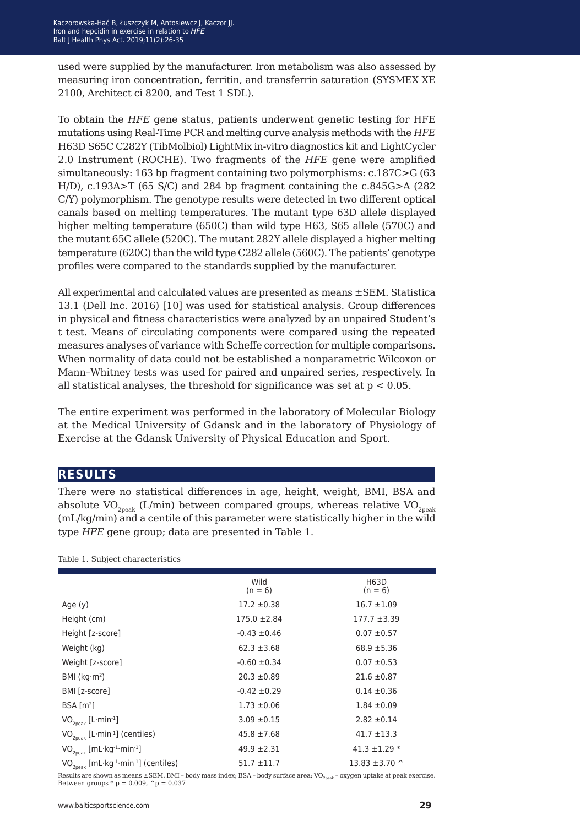used were supplied by the manufacturer. Iron metabolism was also assessed by measuring iron concentration, ferritin, and transferrin saturation (SYSMEX XE 2100, Architect ci 8200, and Test 1 SDL).

To obtain the *HFE* gene status, patients underwent genetic testing for HFE mutations using Real-Time PCR and melting curve analysis methods with the *HFE* H63D S65C C282Y (TibMolbiol) LightMix in-vitro diagnostics kit and LightCycler 2.0 Instrument (ROCHE). Two fragments of the *HFE* gene were amplified simultaneously: 163 bp fragment containing two polymorphisms: c.187C>G (63 H/D), c.193A>T (65 S/C) and 284 bp fragment containing the c.845G>A (282 C/Y) polymorphism. The genotype results were detected in two different optical canals based on melting temperatures. The mutant type 63D allele displayed higher melting temperature (650C) than wild type H63, S65 allele (570C) and the mutant 65C allele (520C). The mutant 282Y allele displayed a higher melting temperature (620C) than the wild type C282 allele (560C). The patients' genotype profiles were compared to the standards supplied by the manufacturer.

All experimental and calculated values are presented as means ±SEM. Statistica 13.1 (Dell Inc. 2016) [10] was used for statistical analysis. Group differences in physical and fitness characteristics were analyzed by an unpaired Student's t test. Means of circulating components were compared using the repeated measures analyses of variance with Scheffe correction for multiple comparisons. When normality of data could not be established a nonparametric Wilcoxon or Mann–Whitney tests was used for paired and unpaired series, respectively. In all statistical analyses, the threshold for significance was set at  $p < 0.05$ .

The entire experiment was performed in the laboratory of Molecular Biology at the Medical University of Gdansk and in the laboratory of Physiology of Exercise at the Gdansk University of Physical Education and Sport.

#### **results**

There were no statistical differences in age, height, weight, BMI, BSA and absolute  $VO_{2pek}$  (L/min) between compared groups, whereas relative  $VO_{2pek}$ (mL/kg/min) and a centile of this parameter were statistically higher in the wild type *HFE* gene group; data are presented in Table 1.

Table 1. Subject characteristics

|                                                                          | Wild<br>$(n = 6)$ | H63D<br>$(n = 6)$  |
|--------------------------------------------------------------------------|-------------------|--------------------|
| Age $(y)$                                                                | $17.2 \pm 0.38$   | $16.7 \pm 1.09$    |
| Height (cm)                                                              | $175.0 \pm 2.84$  | $177.7 \pm 3.39$   |
| Height [z-score]                                                         | $-0.43 \pm 0.46$  | $0.07 \pm 0.57$    |
| Weight (kg)                                                              | $62.3 \pm 3.68$   | $68.9 + 5.36$      |
| Weight [z-score]                                                         | $-0.60 \pm 0.34$  | $0.07 + 0.53$      |
| BMI ( $kg·m²$ )                                                          | $20.3 \pm 0.89$   | $21.6 \pm 0.87$    |
| BMI [z-score]                                                            | $-0.42 \pm 0.29$  | $0.14 \pm 0.36$    |
| BSA [m <sup>2</sup> ]                                                    | $1.73 \pm 0.06$   | $1.84 \pm 0.09$    |
| $VO_{2peak}$ [L·min <sup>-1</sup> ]                                      | $3.09 \pm 0.15$   | $2.82 \pm 0.14$    |
| $VO_{2neak}$ [L·min <sup>-1</sup> ] (centiles)                           | $45.8 \pm 7.68$   | $41.7 \pm 13.3$    |
| $VO_{2peak}$ [mL·kg <sup>-1</sup> ·min <sup>-1</sup> ]                   | $49.9 \pm 2.31$   | $41.3 \pm 1.29$ *  |
| VO <sub>20eak</sub> [mL·kg <sup>-1</sup> ·min <sup>-1</sup> ] (centiles) | $51.7 \pm 11.7$   | 13.83 $\pm$ 3.70 ^ |

Results are shown as means  $\pm$  SEM. BMI – body mass index; BSA – body surface area; VO<sub>2peak</sub> – oxygen uptake at peak exercise. Between groups  $* p = 0.009$ ,  $\gamma p = 0.037$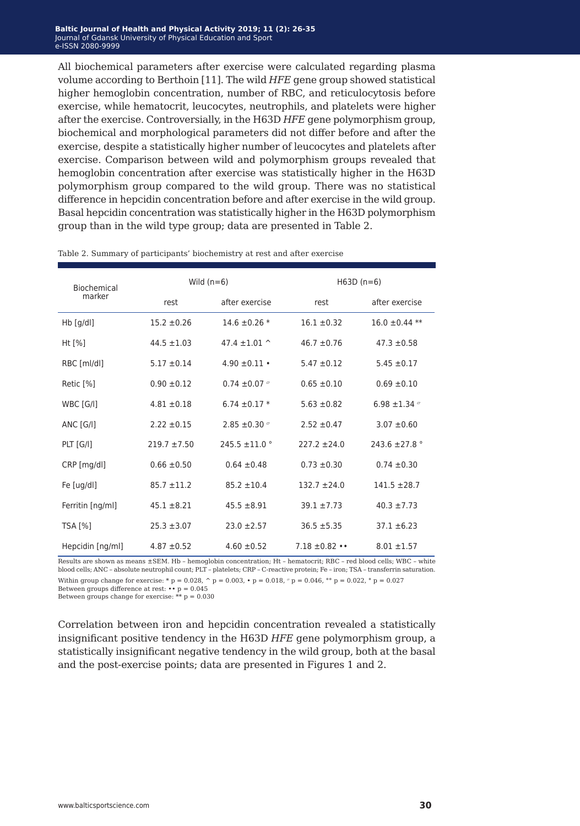All biochemical parameters after exercise were calculated regarding plasma volume according to Berthoin [11]. The wild *HFE* gene group showed statistical higher hemoglobin concentration, number of RBC, and reticulocytosis before exercise, while hematocrit, leucocytes, neutrophils, and platelets were higher after the exercise. Controversially, in the H63D *HFE* gene polymorphism group, biochemical and morphological parameters did not differ before and after the exercise, despite a statistically higher number of leucocytes and platelets after exercise. Comparison between wild and polymorphism groups revealed that hemoglobin concentration after exercise was statistically higher in the H63D polymorphism group compared to the wild group. There was no statistical difference in hepcidin concentration before and after exercise in the wild group. Basal hepcidin concentration was statistically higher in the H63D polymorphism group than in the wild type group; data are presented in Table 2.

| Biochemical      | Wild $(n=6)$     |                           | $H63D(n=6)$      |                           |
|------------------|------------------|---------------------------|------------------|---------------------------|
| marker           | rest             | after exercise            | rest             | after exercise            |
| $Hb$ [g/dl]      | $15.2 \pm 0.26$  | 14.6 $\pm$ 0.26 $*$       | $16.1 \pm 0.32$  | $16.0 \pm 0.44$ **        |
| Ht $[%]$         | $44.5 \pm 1.03$  | 47.4 $\pm$ 1.01 ^         | $46.7 \pm 0.76$  | $47.3 \pm 0.58$           |
| RBC [ml/dl]      | $5.17 \pm 0.14$  | 4.90 $\pm$ 0.11 $\cdot$   | $5.47 \pm 0.12$  | $5.45 \pm 0.17$           |
| Retic [%]        | $0.90 \pm 0.12$  | $0.74 \pm 0.07$ $\degree$ | $0.65 \pm 0.10$  | $0.69 \pm 0.10$           |
| WBC [G/I]        | $4.81 \pm 0.18$  | 6.74 $\pm$ 0.17 $*$       | $5.63 \pm 0.82$  | 6.98 $\pm$ 1.34 $\degree$ |
| ANC[G/I]         | $2.22 \pm 0.15$  | 2.85 $\pm$ 0.30 $\degree$ | $2.52 \pm 0.47$  | $3.07 + 0.60$             |
| $PLT$ $[G/I]$    | $219.7 \pm 7.50$ | $245.5 \pm 11.0$ °        | $227.2 \pm 24.0$ | 243.6 $\pm$ 27.8 °        |
| CRP [mg/dl]      | $0.66 \pm 0.50$  | $0.64 \pm 0.48$           | $0.73 \pm 0.30$  | $0.74 \pm 0.30$           |
| Fe [ug/dl]       | $85.7 \pm 11.2$  | $85.2 \pm 10.4$           | $132.7 \pm 24.0$ | $141.5 \pm 28.7$          |
| Ferritin [ng/ml] | $45.1 \pm 8.21$  | $45.5 \pm 8.91$           | $39.1 + 7.73$    | $40.3 \pm 7.73$           |
| TSA [%]          | $25.3 \pm 3.07$  | $23.0 \pm 2.57$           | $36.5 \pm 5.35$  | $37.1 \pm 6.23$           |
| Hepcidin [ng/ml] | $4.87 \pm 0.52$  | $4.60 \pm 0.52$           | $7.18 \pm 0.82$  | $8.01 \pm 1.57$           |

Table 2. Summary of participants' biochemistry at rest and after exercise

Results are shown as means ±SEM. Hb – hemoglobin concentration; Ht – hematocrit; RBC – red blood cells; WBC – white blood cells; ANC – absolute neutrophil count; PLT – platelets; CRP – C-reactive protein; Fe – iron; TSA – transferrin saturation. Within group change for exercise: \* p = 0.028,  $\hat{p}$  p = 0.003, • p = 0.018,  $\sigma$  p = 0.046,  $\hat{p}$  = 0.022,  $\hat{p}$  p = 0.027

Between groups difference at rest:  $\cdot \cdot p = 0.045$ 

Between groups change for exercise:  $** p = 0.030$ 

Correlation between iron and hepcidin concentration revealed a statistically insignificant positive tendency in the H63D *HFE* gene polymorphism group, a statistically insignificant negative tendency in the wild group, both at the basal and the post-exercise points; data are presented in Figures 1 and 2.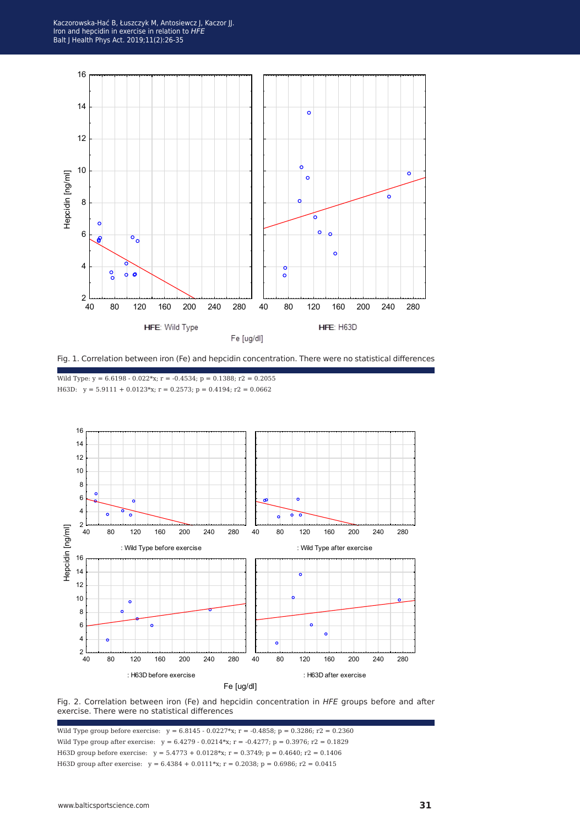



Wild Type:  $y = 6.6198 - 0.022*x$ ;  $r = -0.4534$ ;  $p = 0.1388$ ;  $r2 = 0.2055$ H63D:  $y = 5.9111 + 0.0123*x$ ;  $r = 0.2573$ ;  $p = 0.4194$ ;  $r2 = 0.0662$ 





Wild Type group before exercise:  $y = 6.8145 - 0.0227*x$ ;  $r = -0.4858$ ;  $p = 0.3286$ ;  $r2 = 0.2360$ Wild Type group after exercise:  $y = 6.4279 - 0.0214*x$ ;  $r = -0.4277$ ;  $p = 0.3976$ ;  $r2 = 0.1829$ H63D group before exercise: y = 5.4773 + 0.0128\*x; r = 0.3749; p = 0.4640; r2 = 0.1406 H63D group after exercise:  $y = 6.4384 + 0.0111*$ x;  $r = 0.2038$ ;  $p = 0.6986$ ;  $r2 = 0.0415$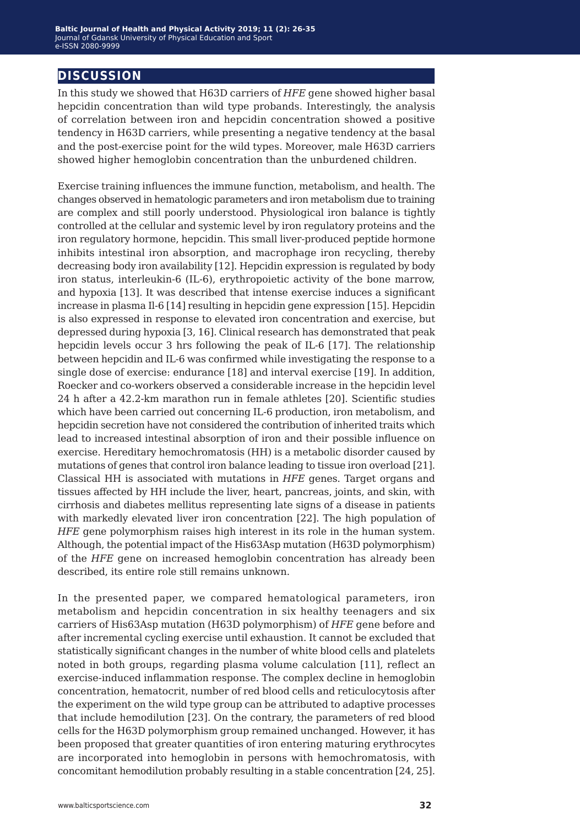### **discussion**

In this study we showed that H63D carriers of *HFE* gene showed higher basal hepcidin concentration than wild type probands. Interestingly, the analysis of correlation between iron and hepcidin concentration showed a positive tendency in H63D carriers, while presenting a negative tendency at the basal and the post-exercise point for the wild types. Moreover, male H63D carriers showed higher hemoglobin concentration than the unburdened children.

Exercise training influences the immune function, metabolism, and health. The changes observed in hematologic parameters and iron metabolism due to training are complex and still poorly understood. Physiological iron balance is tightly controlled at the cellular and systemic level by iron regulatory proteins and the iron regulatory hormone, hepcidin. This small liver-produced peptide hormone inhibits intestinal iron absorption, and macrophage iron recycling, thereby decreasing body iron availability [12]. Hepcidin expression is regulated by body iron status, interleukin-6 (IL-6), erythropoietic activity of the bone marrow, and hypoxia [13]. It was described that intense exercise induces a significant increase in plasma Il-6 [14] resulting in hepcidin gene expression [15]. Hepcidin is also expressed in response to elevated iron concentration and exercise, but depressed during hypoxia [3, 16]. Clinical research has demonstrated that peak hepcidin levels occur 3 hrs following the peak of IL-6 [17]. The relationship between hepcidin and IL-6 was confirmed while investigating the response to a single dose of exercise: endurance [18] and interval exercise [19]. In addition, Roecker and co-workers observed a considerable increase in the hepcidin level 24 h after a 42.2-km marathon run in female athletes [20]. Scientific studies which have been carried out concerning IL-6 production, iron metabolism, and hepcidin secretion have not considered the contribution of inherited traits which lead to increased intestinal absorption of iron and their possible influence on exercise. Hereditary hemochromatosis (HH) is a metabolic disorder caused by mutations of genes that control iron balance leading to tissue iron overload [21]. Classical HH is associated with mutations in *HFE* genes. Target organs and tissues affected by HH include the liver, heart, pancreas, joints, and skin, with cirrhosis and diabetes mellitus representing late signs of a disease in patients with markedly elevated liver iron concentration [22]. The high population of *HFE* gene polymorphism raises high interest in its role in the human system. Although, the potential impact of the His63Asp mutation (H63D polymorphism) of the *HFE* gene on increased hemoglobin concentration has already been described, its entire role still remains unknown.

In the presented paper, we compared hematological parameters, iron metabolism and hepcidin concentration in six healthy teenagers and six carriers of His63Asp mutation (H63D polymorphism) of *HFE* gene before and after incremental cycling exercise until exhaustion. It cannot be excluded that statistically significant changes in the number of white blood cells and platelets noted in both groups, regarding plasma volume calculation [11], reflect an exercise-induced inflammation response. The complex decline in hemoglobin concentration, hematocrit, number of red blood cells and reticulocytosis after the experiment on the wild type group can be attributed to adaptive processes that include hemodilution [23]. On the contrary, the parameters of red blood cells for the H63D polymorphism group remained unchanged. However, it has been proposed that greater quantities of iron entering maturing erythrocytes are incorporated into hemoglobin in persons with hemochromatosis, with concomitant hemodilution probably resulting in a stable concentration [24, 25].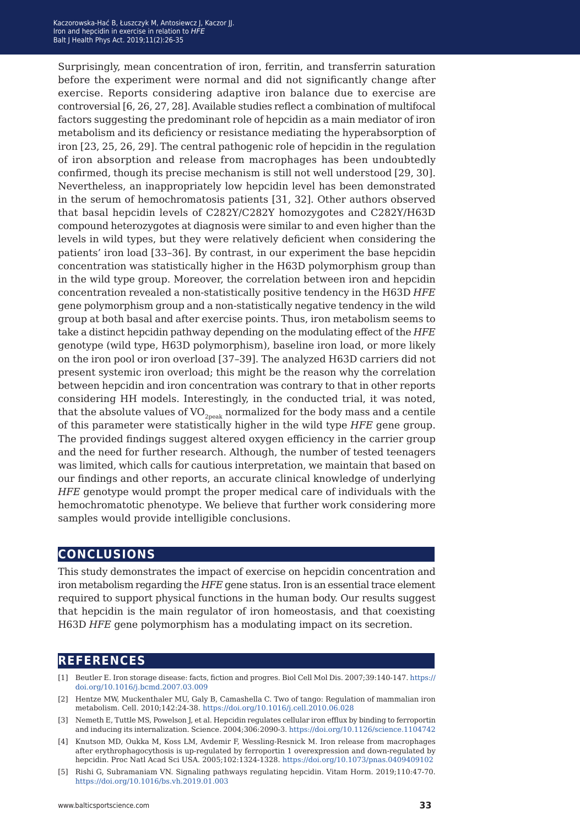Surprisingly, mean concentration of iron, ferritin, and transferrin saturation before the experiment were normal and did not significantly change after exercise. Reports considering adaptive iron balance due to exercise are controversial [6, 26, 27, 28]. Available studies reflect a combination of multifocal factors suggesting the predominant role of hepcidin as a main mediator of iron metabolism and its deficiency or resistance mediating the hyperabsorption of iron [23, 25, 26, 29]. The central pathogenic role of hepcidin in the regulation of iron absorption and release from macrophages has been undoubtedly confirmed, though its precise mechanism is still not well understood [29, 30]. Nevertheless, an inappropriately low hepcidin level has been demonstrated in the serum of hemochromatosis patients [31, 32]. Other authors observed that basal hepcidin levels of C282Y/C282Y homozygotes and C282Y/H63D compound heterozygotes at diagnosis were similar to and even higher than the levels in wild types, but they were relatively deficient when considering the patients' iron load [33–36]. By contrast, in our experiment the base hepcidin concentration was statistically higher in the H63D polymorphism group than in the wild type group. Moreover, the correlation between iron and hepcidin concentration revealed a non-statistically positive tendency in the H63D *HFE*  gene polymorphism group and a non-statistically negative tendency in the wild group at both basal and after exercise points. Thus, iron metabolism seems to take a distinct hepcidin pathway depending on the modulating effect of the *HFE* genotype (wild type, H63D polymorphism), baseline iron load, or more likely on the iron pool or iron overload [37–39]. The analyzed H63D carriers did not present systemic iron overload; this might be the reason why the correlation between hepcidin and iron concentration was contrary to that in other reports considering HH models. Interestingly, in the conducted trial, it was noted, that the absolute values of  $\rm VO_{2\rm peak}$  normalized for the body mass and a centile of this parameter were statistically higher in the wild type *HFE* gene group. The provided findings suggest altered oxygen efficiency in the carrier group and the need for further research. Although, the number of tested teenagers was limited, which calls for cautious interpretation, we maintain that based on our findings and other reports, an accurate clinical knowledge of underlying *HFE* genotype would prompt the proper medical care of individuals with the hemochromatotic phenotype. We believe that further work considering more samples would provide intelligible conclusions.

#### **conclusions**

This study demonstrates the impact of exercise on hepcidin concentration and iron metabolism regarding the *HFE* gene status. Iron is an essential trace element required to support physical functions in the human body. Our results suggest that hepcidin is the main regulator of iron homeostasis, and that coexisting H63D *HFE* gene polymorphism has a modulating impact on its secretion.

#### **references**

- [1] Beutler E. Iron storage disease: facts, fiction and progres. Biol Cell Mol Dis. 2007;39:140-147. [https://](https://doi.org/10.1016/j.bcmd.2007.03.009) [doi.org/10.1016/j.bcmd.2007.03.009](https://doi.org/10.1016/j.bcmd.2007.03.009)
- [2] Hentze MW, Muckenthaler MU, Galy B, Camashella C. Two of tango: Regulation of mammalian iron metabolism. Cell. 2010;142:24-38. <https://doi.org/10.1016/j.cell.2010.06.028>
- [3] Nemeth E, Tuttle MS, Powelson J, et al. Hepcidin regulates cellular iron efflux by binding to ferroportin and inducing its internalization. Science. 2004;306:2090-3.<https://doi.org/10.1126/science.1104742>
- [4] Knutson MD, Oukka M, Koss LM, Avdemir F, Wessling-Resnick M. Iron release from macrophages after erythrophagocythosis is up-regulated by ferroportin 1 overexpression and down-regulated by hepcidin. Proc Natl Acad Sci USA. 2005;102:1324-1328. <https://doi.org/10.1073/pnas.0409409102>

<sup>[5]</sup> Rishi G, Subramaniam VN. Signaling pathways regulating hepcidin. Vitam Horm. 2019;110:47-70. <https://doi.org/10.1016/bs.vh.2019.01.003>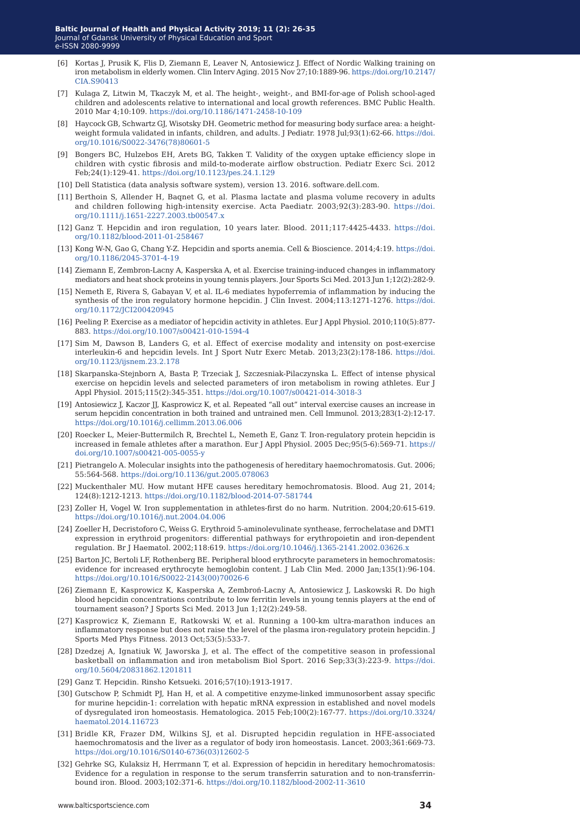- [6] Kortas J, Prusik K, Flis D, Ziemann E, Leaver N, Antosiewicz J. Effect of Nordic Walking training on iron metabolism in elderly women. Clin Interv Aging. 2015 Nov 27;10:1889-96. [https://doi.org/10.2147/](https://doi.org/10.2147/CIA.S90413) [CIA.S90413](https://doi.org/10.2147/CIA.S90413)
- [7] Kulaga Z, Litwin M, Tkaczyk M, et al. The height-, weight-, and BMI-for-age of Polish school-aged children and adolescents relative to international and local growth references. BMC Public Health. 2010 Mar 4;10:109. <https://doi.org/10.1186/1471-2458-10-109>
- [8] Haycock GB, Schwartz GJ, Wisotsky DH. Geometric method for measuring body surface area: a heightweight formula validated in infants, children, and adults. J Pediatr. 1978 Jul;93(1):62-66. [https://doi.](https://doi.org/10.1016/S0022-3476(78)80601-5) [org/10.1016/S0022-3476\(78\)80601-5](https://doi.org/10.1016/S0022-3476(78)80601-5)
- [9] Bongers BC, Hulzebos EH, Arets BG, Takken T. Validity of the oxygen uptake efficiency slope in children with cystic fibrosis and mild-to-moderate airflow obstruction. Pediatr Exerc Sci. 2012 Feb;24(1):129-41. <https://doi.org/10.1123/pes.24.1.129>
- [10] Dell Statistica (data analysis software system), version 13. 2016. software.dell.com.
- [11] Berthoin S, Allender H, Baqnet G, et al. Plasma lactate and plasma volume recovery in adults and children following high-intensity exercise. Acta Paediatr. 2003;92(3):283-90. [https://doi.](https://doi.org/10.1111/j.1651-2227.2003.tb00547.x) [org/10.1111/j.1651-2227.2003.tb00547.x](https://doi.org/10.1111/j.1651-2227.2003.tb00547.x)
- [12] Ganz T. Hepcidin and iron regulation, 10 years later. Blood. 2011;117:4425-4433. [https://doi.](https://doi.org/10.1182/blood-2011-01-258467) [org/10.1182/blood-2011-01-258467](https://doi.org/10.1182/blood-2011-01-258467)
- [13] Kong W-N, Gao G, Chang Y-Z. Hepcidin and sports anemia. Cell & Bioscience. 2014;4:19. [https://doi.](https://doi.org/10.1186/2045-3701-4-19) [org/10.1186/2045-3701-4-19](https://doi.org/10.1186/2045-3701-4-19)
- [14] Ziemann E, Zembron-Lacny A, Kasperska A, et al. Exercise training-induced changes in inflammatory mediators and heat shock proteins in young tennis players. Jour Sports Sci Med. 2013 Jun 1;12(2):282-9.
- [15] Nemeth E, Rivera S, Gabayan V, et al. IL-6 mediates hypoferremia of inflammation by inducing the synthesis of the iron regulatory hormone hepcidin. J Clin Invest. 2004;113:1271-1276. [https://doi.](https://doi.org/10.1172/JCI200420945) [org/10.1172/JCI200420945](https://doi.org/10.1172/JCI200420945)
- [16] Peeling P. Exercise as a mediator of hepcidin activity in athletes. Eur J Appl Physiol. 2010;110(5):877- 883. <https://doi.org/10.1007/s00421-010-1594-4>
- [17] Sim M, Dawson B, Landers G, et al. Effect of exercise modality and intensity on post-exercise interleukin-6 and hepcidin levels. Int J Sport Nutr Exerc Metab. 2013;23(2):178-186. [https://doi.](https://doi.org/10.1123/ijsnem.23.2.178) [org/10.1123/ijsnem.23.2.178](https://doi.org/10.1123/ijsnem.23.2.178)
- [18] Skarpanska-Stejnborn A, Basta P, Trzeciak J, Szczesniak-Pilaczynska L. Effect of intense physical exercise on hepcidin levels and selected parameters of iron metabolism in rowing athletes. Eur J Appl Physiol. 2015;115(2):345-351. <https://doi.org/10.1007/s00421-014-3018-3>
- [19] Antosiewicz J, Kaczor JJ, Kasprowicz K, et al. Repeated "all out" interval exercise causes an increase in serum hepcidin concentration in both trained and untrained men. Cell Immunol. 2013;283(1-2):12-17. <https://doi.org/10.1016/j.cellimm.2013.06.006>
- [20] Roecker L, Meier-Buttermilch R, Brechtel L, Nemeth E, Ganz T. Iron-regulatory protein hepcidin is increased in female athletes after a marathon. Eur J Appl Physiol. 2005 Dec;95(5-6):569-71. [https://](https://doi.org/10.1007/s00421-005-0055-y) [doi.org/10.1007/s00421-005-0055-y](https://doi.org/10.1007/s00421-005-0055-y)
- [21] Pietrangelo A. Molecular insights into the pathogenesis of hereditary haemochromatosis. Gut. 2006; 55:564-568. <https://doi.org/10.1136/gut.2005.078063>
- [22] Muckenthaler MU. How mutant HFE causes hereditary hemochromatosis. Blood. Aug 21, 2014; 124(8):1212-1213. <https://doi.org/10.1182/blood-2014-07-581744>
- [23] Zoller H, Vogel W. Iron supplementation in athletes-first do no harm. Nutrition. 2004;20:615-619. <https://doi.org/10.1016/j.nut.2004.04.006>
- [24] Zoeller H, Decristoforo C, Weiss G. Erythroid 5-aminolevulinate synthease, ferrochelatase and DMT1 expression in erythroid progenitors: differential pathways for erythropoietin and iron-dependent regulation. Br J Haematol. 2002;118:619. <https://doi.org/10.1046/j.1365-2141.2002.03626.x>
- [25] Barton JC, Bertoli LF, Rothenberg BE. Peripheral blood erythrocyte parameters in hemochromatosis: evidence for increased erythrocyte hemoglobin content. J Lab Clin Med. 2000 Jan;135(1):96-104. [https://doi.org/10.1016/S0022-2143\(00\)70026-6](https://doi.org/10.1016/S0022-2143(00)70026-6)
- [26] Ziemann E, Kasprowicz K, Kasperska A, Zembroń-Lacny A, Antosiewicz J, Laskowski R. Do high blood hepcidin concentrations contribute to low ferritin levels in young tennis players at the end of tournament season? J Sports Sci Med. 2013 Jun 1;12(2):249-58.
- [27] Kasprowicz K, Ziemann E, Ratkowski W, et al. Running a 100-km ultra-marathon induces an inflammatory response but does not raise the level of the plasma iron-regulatory protein hepcidin. J Sports Med Phys Fitness. 2013 Oct;53(5):533-7.
- [28] Dzedzej A, Ignatiuk W, Jaworska J, et al. The effect of the competitive season in professional basketball on inflammation and iron metabolism Biol Sport. 2016 Sep;33(3):223-9. [https://doi.](https://doi.org/10.5604/20831862.1201811) [org/10.5604/20831862.1201811](https://doi.org/10.5604/20831862.1201811)
- [29] Ganz T. Hepcidin. Rinsho Ketsueki. 2016;57(10):1913-1917.
- [30] Gutschow P, Schmidt PJ, Han H, et al. A competitive enzyme-linked immunosorbent assay specific for murine hepcidin-1: correlation with hepatic mRNA expression in established and novel models of dysregulated iron homeostasis. Hematologica. 2015 Feb;100(2):167-77. [https://doi.org/10.3324/](https://doi.org/10.3324/haematol.2014.116723) [haematol.2014.116723](https://doi.org/10.3324/haematol.2014.116723)
- [31] Bridle KR, Frazer DM, Wilkins SJ, et al. Disrupted hepcidin regulation in HFE-associated haemochromatosis and the liver as a regulator of body iron homeostasis. Lancet. 2003;361:669-73. [https://doi.org/10.1016/S0140-6736\(03\)12602-5](https://doi.org/10.1016/S0140-6736(03)12602-5)
- [32] Gehrke SG, Kulaksiz H, Herrmann T, et al. Expression of hepcidin in hereditary hemochromatosis: Evidence for a regulation in response to the serum transferrin saturation and to non-transferrinbound iron. Blood. 2003;102:371-6. <https://doi.org/10.1182/blood-2002-11-3610>